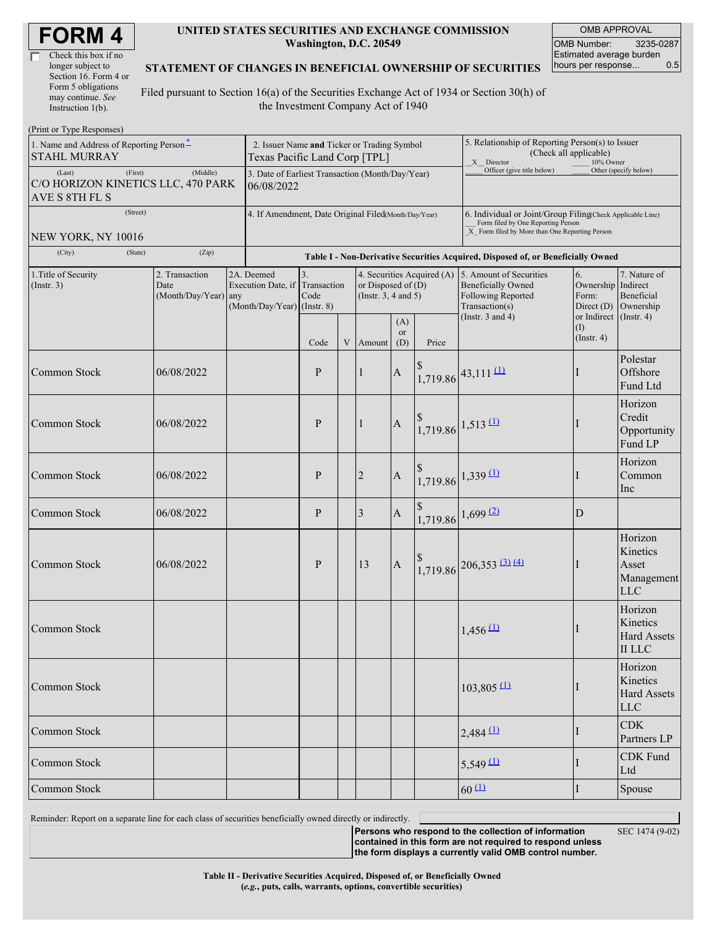| <b>FORM4</b> |  |
|--------------|--|
|--------------|--|

| Check this box if no  |
|-----------------------|
| longer subject to     |
| Section 16. Form 4 or |
| Form 5 obligations    |
| may continue. See     |
| Instruction 1(b).     |

#### **UNITED STATES SECURITIES AND EXCHANGE COMMISSION Washington, D.C. 20549**

OMB APPROVAL OMB Number: 3235-0287 Estimated average burden hours per response... 0.5

#### **STATEMENT OF CHANGES IN BENEFICIAL OWNERSHIP OF SECURITIES**

Filed pursuant to Section 16(a) of the Securities Exchange Act of 1934 or Section 30(h) of the Investment Company Act of 1940

| (Print or Type Responses)                                                   |                                                                              |                                                                   |                                                                                  |             |                                                                                                        |                         |                                                                                                                                                    |                                                                                                                                                       |                         |                                                                         |  |
|-----------------------------------------------------------------------------|------------------------------------------------------------------------------|-------------------------------------------------------------------|----------------------------------------------------------------------------------|-------------|--------------------------------------------------------------------------------------------------------|-------------------------|----------------------------------------------------------------------------------------------------------------------------------------------------|-------------------------------------------------------------------------------------------------------------------------------------------------------|-------------------------|-------------------------------------------------------------------------|--|
| 1. Name and Address of Reporting Person <sup>*</sup><br><b>STAHL MURRAY</b> | 2. Issuer Name and Ticker or Trading Symbol<br>Texas Pacific Land Corp [TPL] |                                                                   |                                                                                  |             |                                                                                                        |                         | 5. Relationship of Reporting Person(s) to Issuer<br>(Check all applicable)<br>X Director<br>10% Owner                                              |                                                                                                                                                       |                         |                                                                         |  |
| (First)<br>(Last)<br>C/O HORIZON KINETICS LLC, 470 PARK<br>AVE S 8TH FL S   | 3. Date of Earliest Transaction (Month/Day/Year)<br>06/08/2022               |                                                                   |                                                                                  |             |                                                                                                        |                         | Officer (give title below)                                                                                                                         |                                                                                                                                                       | Other (specify below)   |                                                                         |  |
| (Street)                                                                    | 4. If Amendment, Date Original Filed(Month/Day/Year)                         |                                                                   |                                                                                  |             |                                                                                                        |                         | 6. Individual or Joint/Group Filing(Check Applicable Line)<br>Form filed by One Reporting Person<br>X Form filed by More than One Reporting Person |                                                                                                                                                       |                         |                                                                         |  |
| NEW YORK, NY 10016<br>(City)<br>(State)                                     | (Zip)                                                                        |                                                                   | Table I - Non-Derivative Securities Acquired, Disposed of, or Beneficially Owned |             |                                                                                                        |                         |                                                                                                                                                    |                                                                                                                                                       |                         |                                                                         |  |
| 1. Title of Security<br>(Insert. 3)                                         | 2. Transaction<br>Date<br>(Month/Day/Year) any                               | 2A. Deemed<br>Execution Date, if<br>$(Month/Day/Year)$ (Instr. 8) | 3.<br>Transaction<br>Code                                                        |             | 4. Securities Acquired (A) 5. Amount of Securities<br>or Disposed of $(D)$<br>(Instr. $3, 4$ and $5$ ) |                         |                                                                                                                                                    | 6.<br>Ownership<br><b>Beneficially Owned</b><br>Following Reported<br>Form:<br>Transaction(s)<br>Direct $(D)$<br>(Instr. $3$ and $4$ )<br>or Indirect |                         | 7. Nature of<br>Indirect<br>Beneficial<br>Ownership<br>$($ Instr. 4 $)$ |  |
|                                                                             |                                                                              |                                                                   | Code                                                                             | $\mathbf V$ | Amount                                                                                                 | (A)<br><b>or</b><br>(D) | Price                                                                                                                                              |                                                                                                                                                       | (I)<br>$($ Instr. 4 $)$ |                                                                         |  |
| <b>Common Stock</b>                                                         | 06/08/2022                                                                   |                                                                   | P                                                                                |             | $\vert$ 1                                                                                              | $\mathbf{A}$            |                                                                                                                                                    | $1,719.86$ <sup>43,111 (1)</sup>                                                                                                                      |                         | Polestar<br>Offshore<br>Fund Ltd                                        |  |
| <b>Common Stock</b>                                                         | 06/08/2022                                                                   |                                                                   | P                                                                                |             | $\vert$ 1                                                                                              | $\mathbf{A}$            |                                                                                                                                                    | $1,719.86$ $1,513$ $(1)$                                                                                                                              |                         | Horizon<br>Credit<br>Opportunity<br>Fund LP                             |  |
| Common Stock                                                                | 06/08/2022                                                                   |                                                                   | $\mathbf{P}$                                                                     |             | $\sqrt{2}$                                                                                             | $\mathbf{A}$            |                                                                                                                                                    | $1,719.86$ 1,339 (1)                                                                                                                                  |                         | Horizon<br>Common<br>Inc                                                |  |
| <b>Common Stock</b>                                                         | 06/08/2022                                                                   |                                                                   | $\mathbf{P}$                                                                     |             | 3                                                                                                      | $\mathbf{A}$            |                                                                                                                                                    | 1,719.86 1,699 (2)                                                                                                                                    | D                       |                                                                         |  |
| Common Stock                                                                | 06/08/2022                                                                   |                                                                   | P                                                                                |             | 13                                                                                                     | $\mathbf{A}$            |                                                                                                                                                    | $1,719.86$ $206,353$ $3)$ $(4)$                                                                                                                       |                         | Horizon<br>Kinetics<br>Asset<br>Management<br><b>LLC</b>                |  |
| <b>Common Stock</b>                                                         |                                                                              |                                                                   |                                                                                  |             |                                                                                                        |                         |                                                                                                                                                    | $1,456 \overline{11}$                                                                                                                                 |                         | Horizon<br>Kinetics<br><b>Hard Assets</b><br><b>II LLC</b>              |  |
| Common Stock                                                                |                                                                              |                                                                   |                                                                                  |             |                                                                                                        |                         |                                                                                                                                                    | $103,805$ <sup>(1)</sup>                                                                                                                              |                         | Horizon<br>Kinetics<br><b>Hard Assets</b><br><b>LLC</b>                 |  |
| Common Stock                                                                |                                                                              |                                                                   |                                                                                  |             |                                                                                                        |                         |                                                                                                                                                    | $2,484$ <sup>(1)</sup>                                                                                                                                |                         | <b>CDK</b><br>Partners LP                                               |  |
| Common Stock                                                                |                                                                              |                                                                   |                                                                                  |             |                                                                                                        |                         |                                                                                                                                                    | $5,549 \underline{11}$                                                                                                                                |                         | <b>CDK</b> Fund<br>Ltd                                                  |  |
| Common Stock                                                                |                                                                              |                                                                   |                                                                                  |             | $60 \text{ 11}$                                                                                        | I                       | Spouse                                                                                                                                             |                                                                                                                                                       |                         |                                                                         |  |

Reminder: Report on a separate line for each class of securities beneficially owned directly or indirectly.

**Persons who respond to the collection of information**

SEC 1474 (9-02)

**contained in this form are not required to respond unless the form displays a currently valid OMB control number.**

**Table II - Derivative Securities Acquired, Disposed of, or Beneficially Owned (***e.g.***, puts, calls, warrants, options, convertible securities)**